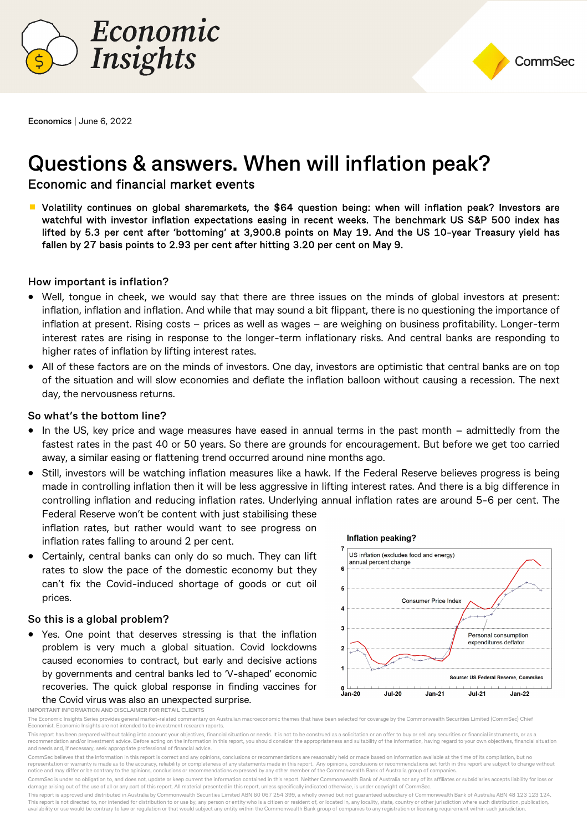



**Economics** | June 6, 2022

# **Questions & answers. When will inflation peak?**

# Economic and financial market events

■ Volatility continues on global sharemarkets, the \$64 question being: when will inflation peak? Investors are watchful with investor inflation expectations easing in recent weeks. The benchmark US S&P 500 index has lifted by 5.3 per cent after 'bottoming' at 3,900.8 points on May 19. And the US 10-year Treasury yield has fallen by 27 basis points to 2.93 per cent after hitting 3.20 per cent on May 9.

#### **How important is inflation?**

- Well, tongue in cheek, we would say that there are three issues on the minds of global investors at present: inflation, inflation and inflation. And while that may sound a bit flippant, there is no questioning the importance of inflation at present. Rising costs – prices as well as wages – are weighing on business profitability. Longer-term interest rates are rising in response to the longer-term inflationary risks. And central banks are responding to higher rates of inflation by lifting interest rates.
- All of these factors are on the minds of investors. One day, investors are optimistic that central banks are on top of the situation and will slow economies and deflate the inflation balloon without causing a recession. The next day, the nervousness returns.

#### **So what's the bottom line?**

- In the US, key price and wage measures have eased in annual terms in the past month admittedly from the fastest rates in the past 40 or 50 years. So there are grounds for encouragement. But before we get too carried away, a similar easing or flattening trend occurred around nine months ago.
- Still, investors will be watching inflation measures like a hawk. If the Federal Reserve believes progress is being made in controlling inflation then it will be less aggressive in lifting interest rates. And there is a big difference in controlling inflation and reducing inflation rates. Underlying annual inflation rates are around 5-6 per cent. The Federal Reserve won't be content with just stabilising these

inflation rates, but rather would want to see progress on inflation rates falling to around 2 per cent.

 Certainly, central banks can only do so much. They can lift rates to slow the pace of the domestic economy but they can't fix the Covid-induced shortage of goods or cut oil prices.

#### **So this is a global problem?**

 Yes. One point that deserves stressing is that the inflation problem is very much a global situation. Covid lockdowns caused economies to contract, but early and decisive actions by governments and central banks led to 'V-shaped' economic recoveries. The quick global response in finding vaccines for the Covid virus was also an unexpected surprise.



**IMPORTANT INFORMATION AND DISCLAIMER FOR RETAIL CLIENTS** 

The Economic Insights Series provides general market-related commentary on Australian macroeconomic themes that have been selected for coverage by the Commonwealth Securities Limited (CommSec) Chief Economist. Economic Insights are not intended to be investment research reports.

This report has been prepared without taking into account your objectives, financial situation or needs. It is not to be construed as a solicitation or an offer to buy or sell any securities or financial instruments, or as recommendation and/or investment advice. Before acting on the information in this report, you should consider the appropriateness and suitability of the information, having regard to your own objectives, financial situatio and needs and, if necessary, seek appropriate professional of financial advice.

CommSec is under no obligation to, and does not, update or keep current the information contained in this report. Neither Commonwealth Bank of Australia nor any of its affiliates or subsidiaries accepts liability for loss damage arising out of the use of all or any part of this report. All material presented in this report, unless specifically indicated otherwise, is under copyright of Comm

This report is approved and distributed in Australia by Commonwealth Securities Limited ABN 60 067 254 399, a wholly owned but not guaranteed subsidiary of Commonwealth Bank of Australia ABN 48 123 123 124. This report is not directed to, nor intended for distribution to or use by, any person or entity who is a citizen or resident of, or located in, any locality, state, country or other jurisdiction where such distribution, p availability or use would be contrary to law or regulation or that would subject any entity within the Commonwealth Bank group of companies to any registration or licensing requirement within such jurisdiction.

CommSec believes that the information in this report is correct and any opinions, conclusions or recommendations are reasonably held or made based on information available at the time of its compilation, but no representation or warranty is made as to the accuracy, reliability or completeness of any statements made in this report. Any opinions, conclusions or recommendations set forth in this report are subject to change without notice and may differ or be contrary to the opinions, conclusions or recommendations expressed by any other member of the Commonwealth Bank of Australia group of companies.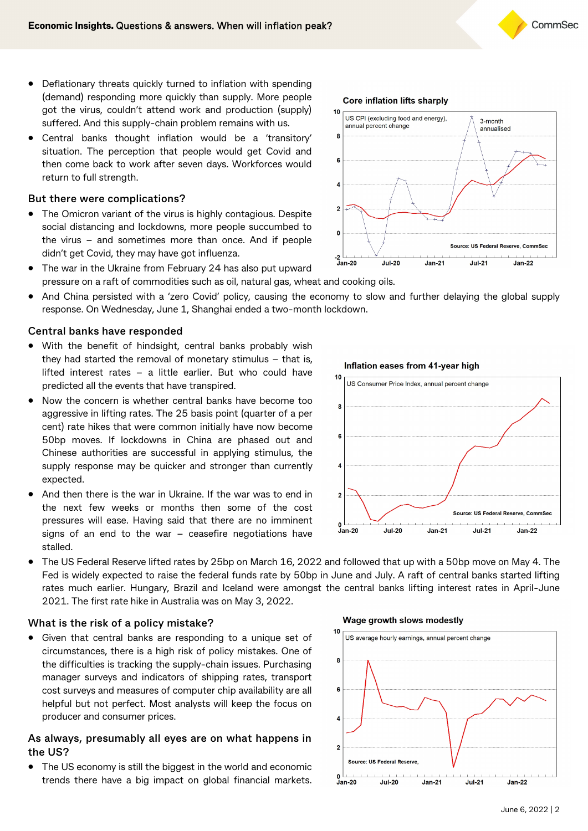- Deflationary threats quickly turned to inflation with spending (demand) responding more quickly than supply. More people got the virus, couldn't attend work and production (supply) suffered. And this supply-chain problem remains with us.
- Central banks thought inflation would be a 'transitory' situation. The perception that people would get Covid and then come back to work after seven days. Workforces would return to full strength.

### **But there were complications?**

• The Omicron variant of the virus is highly contagious. Despite social distancing and lockdowns, more people succumbed to the virus – and sometimes more than once. And if people didn't get Covid, they may have got influenza.



- The war in the Ukraine from February 24 has also put upward pressure on a raft of commodities such as oil, natural gas, wheat and cooking oils.
- And China persisted with a 'zero Covid' policy, causing the economy to slow and further delaying the global supply response. On Wednesday, June 1, Shanghai ended a two-month lockdown.

#### **Central banks have responded**

- With the benefit of hindsight, central banks probably wish they had started the removal of monetary stimulus – that is, lifted interest rates – a little earlier. But who could have predicted all the events that have transpired.
- Now the concern is whether central banks have become too aggressive in lifting rates. The 25 basis point (quarter of a per cent) rate hikes that were common initially have now become 50bp moves. If lockdowns in China are phased out and Chinese authorities are successful in applying stimulus, the supply response may be quicker and stronger than currently expected.
- And then there is the war in Ukraine. If the war was to end in the next few weeks or months then some of the cost pressures will ease. Having said that there are no imminent signs of an end to the war – ceasefire negotiations have stalled.



 The US Federal Reserve lifted rates by 25bp on March 16, 2022 and followed that up with a 50bp move on May 4. The Fed is widely expected to raise the federal funds rate by 50bp in June and July. A raft of central banks started lifting rates much earlier. Hungary, Brazil and Iceland were amongst the central banks lifting interest rates in April-June 2021. The first rate hike in Australia was on May 3, 2022.

#### **What is the risk of a policy mistake?**

 Given that central banks are responding to a unique set of circumstances, there is a high risk of policy mistakes. One of the difficulties is tracking the supply-chain issues. Purchasing manager surveys and indicators of shipping rates, transport cost surveys and measures of computer chip availability are all helpful but not perfect. Most analysts will keep the focus on producer and consumer prices.

#### **As always, presumably all eyes are on what happens in the US?**

 The US economy is still the biggest in the world and economic trends there have a big impact on global financial markets.

#### Wage growth slows modestly



# Inflation eases from 41-year high